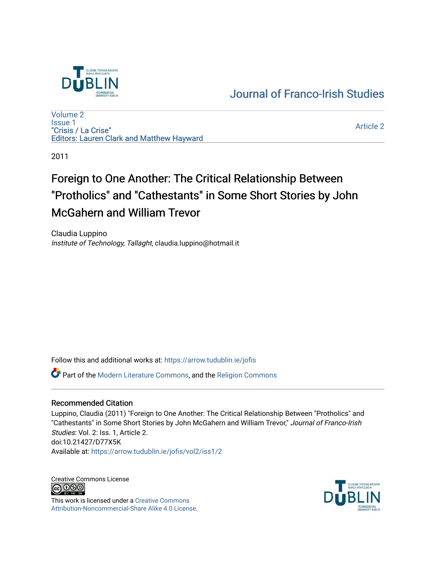

## [Journal of Franco-Irish Studies](https://arrow.tudublin.ie/jofis)

[Volume 2](https://arrow.tudublin.ie/jofis/vol2) [Issue 1](https://arrow.tudublin.ie/jofis/vol2/iss1) "Crisis / La Crise" Editors: Lauren Clark and Matthew Hayward

[Article 2](https://arrow.tudublin.ie/jofis/vol2/iss1/2) 

2011

# Foreign to One Another: The Critical Relationship Between "Protholics" and "Cathestants" in Some Short Stories by John McGahern and William Trevor

Claudia Luppino Institute of Technology, Tallaght, claudia.luppino@hotmail.it

Follow this and additional works at: [https://arrow.tudublin.ie/jofis](https://arrow.tudublin.ie/jofis?utm_source=arrow.tudublin.ie%2Fjofis%2Fvol2%2Fiss1%2F2&utm_medium=PDF&utm_campaign=PDFCoverPages) 

Part of the [Modern Literature Commons,](http://network.bepress.com/hgg/discipline/1050?utm_source=arrow.tudublin.ie%2Fjofis%2Fvol2%2Fiss1%2F2&utm_medium=PDF&utm_campaign=PDFCoverPages) and the [Religion Commons](http://network.bepress.com/hgg/discipline/538?utm_source=arrow.tudublin.ie%2Fjofis%2Fvol2%2Fiss1%2F2&utm_medium=PDF&utm_campaign=PDFCoverPages)

### Recommended Citation

Luppino, Claudia (2011) "Foreign to One Another: The Critical Relationship Between "Protholics" and "Cathestants" in Some Short Stories by John McGahern and William Trevor," Journal of Franco-Irish Studies: Vol. 2: Iss. 1, Article 2. doi:10.21427/D77X5K Available at: [https://arrow.tudublin.ie/jofis/vol2/iss1/2](https://arrow.tudublin.ie/jofis/vol2/iss1/2?utm_source=arrow.tudublin.ie%2Fjofis%2Fvol2%2Fiss1%2F2&utm_medium=PDF&utm_campaign=PDFCoverPages) 

Creative Commons License<br>  $\overline{G}$  000

This work is licensed under a [Creative Commons](https://creativecommons.org/licenses/by-nc-sa/4.0/) [Attribution-Noncommercial-Share Alike 4.0 License](https://creativecommons.org/licenses/by-nc-sa/4.0/).

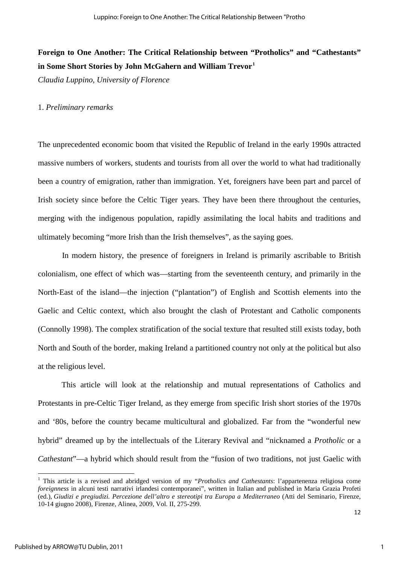### **Foreign to One Another: The Critical Relationship between "Protholics" and "Cathestants" in Some Short Stories by John McGahern and William Trevor[1](#page-1-0)**

*Claudia Luppino, University of Florence* 

### 1. *Preliminary remarks*

The unprecedented economic boom that visited the Republic of Ireland in the early 1990s attracted massive numbers of workers, students and tourists from all over the world to what had traditionally been a country of emigration, rather than immigration. Yet, foreigners have been part and parcel of Irish society since before the Celtic Tiger years. They have been there throughout the centuries, merging with the indigenous population, rapidly assimilating the local habits and traditions and ultimately becoming "more Irish than the Irish themselves", as the saying goes.

In modern history, the presence of foreigners in Ireland is primarily ascribable to British colonialism, one effect of which was—starting from the seventeenth century, and primarily in the North-East of the island—the injection ("plantation") of English and Scottish elements into the Gaelic and Celtic context, which also brought the clash of Protestant and Catholic components (Connolly 1998). The complex stratification of the social texture that resulted still exists today, both North and South of the border, making Ireland a partitioned country not only at the political but also at the religious level.

This article will look at the relationship and mutual representations of Catholics and Protestants in pre-Celtic Tiger Ireland, as they emerge from specific Irish short stories of the 1970s and '80s, before the country became multicultural and globalized. Far from the "wonderful new hybrid" dreamed up by the intellectuals of the Literary Revival and "nicknamed a *Protholic* or a *Cathestant*"—a hybrid which should result from the "fusion of two traditions, not just Gaelic with

 $\overline{a}$ 

<span id="page-1-0"></span><sup>1</sup> This article is a revised and abridged version of my "*Protholics and Cathestants*: l'appartenenza religiosa come *foreignness* in alcuni testi narrativi irlandesi contemporanei", written in Italian and published in Maria Grazia Profeti (ed.), *Giudizi e pregiudizi. Percezione dell'altro e stereotipi tra Europa a Mediterraneo* (Atti del Seminario, Firenze, 10-14 giugno 2008), Firenze, Alinea, 2009, Vol. II, 275-299.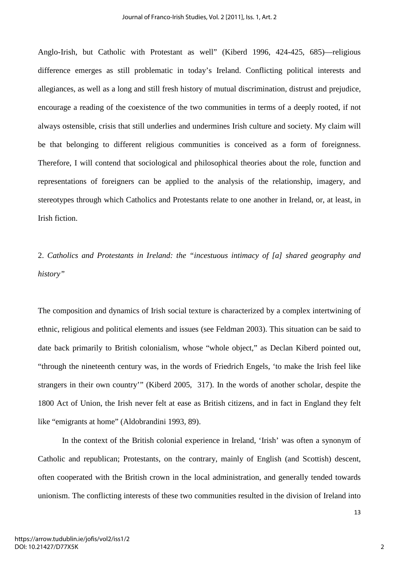Anglo-Irish, but Catholic with Protestant as well" (Kiberd 1996, 424-425, 685)—religious difference emerges as still problematic in today's Ireland. Conflicting political interests and allegiances, as well as a long and still fresh history of mutual discrimination, distrust and prejudice, encourage a reading of the coexistence of the two communities in terms of a deeply rooted, if not always ostensible, crisis that still underlies and undermines Irish culture and society. My claim will be that belonging to different religious communities is conceived as a form of foreignness. Therefore, I will contend that sociological and philosophical theories about the role, function and representations of foreigners can be applied to the analysis of the relationship, imagery, and stereotypes through which Catholics and Protestants relate to one another in Ireland, or, at least, in Irish fiction.

2. *Catholics and Protestants in Ireland: the "incestuous intimacy of [a] shared geography and history"* 

The composition and dynamics of Irish social texture is characterized by a complex intertwining of ethnic, religious and political elements and issues (see Feldman 2003). This situation can be said to date back primarily to British colonialism, whose "whole object," as Declan Kiberd pointed out, "through the nineteenth century was, in the words of Friedrich Engels, 'to make the Irish feel like strangers in their own country'" (Kiberd 2005, 317). In the words of another scholar, despite the 1800 Act of Union, the Irish never felt at ease as British citizens, and in fact in England they felt like "emigrants at home" (Aldobrandini 1993, 89).

In the context of the British colonial experience in Ireland, 'Irish' was often a synonym of Catholic and republican; Protestants, on the contrary, mainly of English (and Scottish) descent, often cooperated with the British crown in the local administration, and generally tended towards unionism. The conflicting interests of these two communities resulted in the division of Ireland into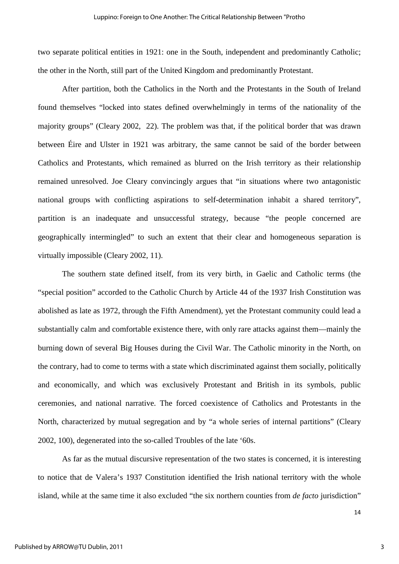two separate political entities in 1921: one in the South, independent and predominantly Catholic; the other in the North, still part of the United Kingdom and predominantly Protestant.

After partition, both the Catholics in the North and the Protestants in the South of Ireland found themselves "locked into states defined overwhelmingly in terms of the nationality of the majority groups" (Cleary 2002, 22). The problem was that, if the political border that was drawn between Éire and Ulster in 1921 was arbitrary, the same cannot be said of the border between Catholics and Protestants, which remained as blurred on the Irish territory as their relationship remained unresolved. Joe Cleary convincingly argues that "in situations where two antagonistic national groups with conflicting aspirations to self-determination inhabit a shared territory", partition is an inadequate and unsuccessful strategy, because "the people concerned are geographically intermingled" to such an extent that their clear and homogeneous separation is virtually impossible (Cleary 2002, 11).

The southern state defined itself, from its very birth, in Gaelic and Catholic terms (the "special position" accorded to the Catholic Church by Article 44 of the 1937 Irish Constitution was abolished as late as 1972, through the Fifth Amendment), yet the Protestant community could lead a substantially calm and comfortable existence there, with only rare attacks against them—mainly the burning down of several Big Houses during the Civil War. The Catholic minority in the North, on the contrary, had to come to terms with a state which discriminated against them socially, politically and economically, and which was exclusively Protestant and British in its symbols, public ceremonies, and national narrative. The forced coexistence of Catholics and Protestants in the North, characterized by mutual segregation and by "a whole series of internal partitions" (Cleary 2002, 100), degenerated into the so-called Troubles of the late '60s.

As far as the mutual discursive representation of the two states is concerned, it is interesting to notice that de Valera's 1937 Constitution identified the Irish national territory with the whole island, while at the same time it also excluded "the six northern counties from *de facto* jurisdiction"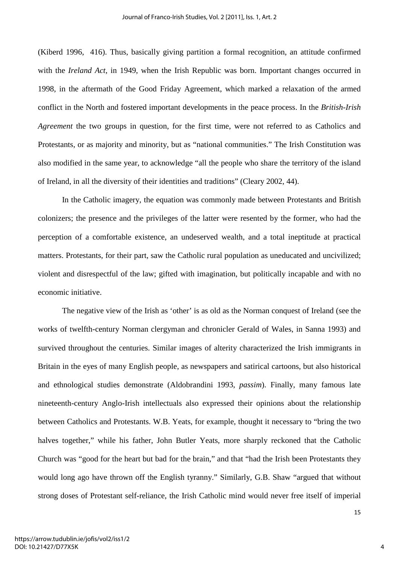(Kiberd 1996, 416). Thus, basically giving partition a formal recognition, an attitude confirmed with the *Ireland Act*, in 1949, when the Irish Republic was born. Important changes occurred in 1998, in the aftermath of the Good Friday Agreement, which marked a relaxation of the armed conflict in the North and fostered important developments in the peace process. In the *British-Irish Agreement* the two groups in question, for the first time, were not referred to as Catholics and Protestants, or as majority and minority, but as "national communities." The Irish Constitution was also modified in the same year, to acknowledge "all the people who share the territory of the island of Ireland, in all the diversity of their identities and traditions" (Cleary 2002, 44).

In the Catholic imagery, the equation was commonly made between Protestants and British colonizers; the presence and the privileges of the latter were resented by the former, who had the perception of a comfortable existence, an undeserved wealth, and a total ineptitude at practical matters. Protestants, for their part, saw the Catholic rural population as uneducated and uncivilized; violent and disrespectful of the law; gifted with imagination, but politically incapable and with no economic initiative.

The negative view of the Irish as 'other' is as old as the Norman conquest of Ireland (see the works of twelfth-century Norman clergyman and chronicler Gerald of Wales, in Sanna 1993) and survived throughout the centuries. Similar images of alterity characterized the Irish immigrants in Britain in the eyes of many English people, as newspapers and satirical cartoons, but also historical and ethnological studies demonstrate (Aldobrandini 1993, *passim*). Finally, many famous late nineteenth-century Anglo-Irish intellectuals also expressed their opinions about the relationship between Catholics and Protestants. W.B. Yeats, for example, thought it necessary to "bring the two halves together," while his father, John Butler Yeats, more sharply reckoned that the Catholic Church was "good for the heart but bad for the brain," and that "had the Irish been Protestants they would long ago have thrown off the English tyranny." Similarly, G.B. Shaw "argued that without strong doses of Protestant self-reliance, the Irish Catholic mind would never free itself of imperial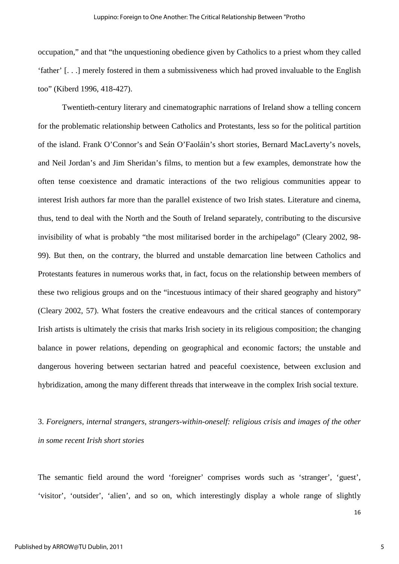occupation," and that "the unquestioning obedience given by Catholics to a priest whom they called 'father' [. . .] merely fostered in them a submissiveness which had proved invaluable to the English too" (Kiberd 1996, 418-427).

Twentieth-century literary and cinematographic narrations of Ireland show a telling concern for the problematic relationship between Catholics and Protestants, less so for the political partition of the island. Frank O'Connor's and Seán O'Faoláin's short stories, Bernard MacLaverty's novels, and Neil Jordan's and Jim Sheridan's films, to mention but a few examples, demonstrate how the often tense coexistence and dramatic interactions of the two religious communities appear to interest Irish authors far more than the parallel existence of two Irish states. Literature and cinema, thus, tend to deal with the North and the South of Ireland separately, contributing to the discursive invisibility of what is probably "the most militarised border in the archipelago" (Cleary 2002, 98- 99). But then, on the contrary, the blurred and unstable demarcation line between Catholics and Protestants features in numerous works that, in fact, focus on the relationship between members of these two religious groups and on the "incestuous intimacy of their shared geography and history" (Cleary 2002, 57). What fosters the creative endeavours and the critical stances of contemporary Irish artists is ultimately the crisis that marks Irish society in its religious composition; the changing balance in power relations, depending on geographical and economic factors; the unstable and dangerous hovering between sectarian hatred and peaceful coexistence, between exclusion and hybridization, among the many different threads that interweave in the complex Irish social texture.

3. *Foreigners, internal strangers, strangers-within-oneself: religious crisis and images of the other in some recent Irish short stories*

The semantic field around the word 'foreigner' comprises words such as 'stranger', 'guest', 'visitor', 'outsider', 'alien', and so on, which interestingly display a whole range of slightly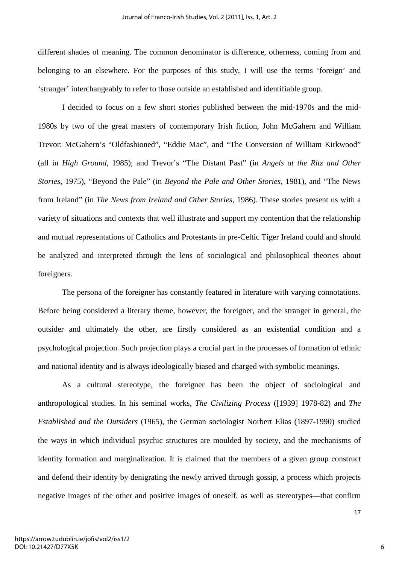different shades of meaning. The common denominator is difference, otherness, coming from and belonging to an elsewhere. For the purposes of this study, I will use the terms 'foreign' and 'stranger' interchangeably to refer to those outside an established and identifiable group.

I decided to focus on a few short stories published between the mid-1970s and the mid-1980s by two of the great masters of contemporary Irish fiction, John McGahern and William Trevor: McGahern's "Oldfashioned", "Eddie Mac", and "The Conversion of William Kirkwood" (all in *High Ground*, 1985); and Trevor's "The Distant Past" (in *Angels at the Ritz and Other Stories*, 1975), "Beyond the Pale" (in *Beyond the Pale and Other Stories*, 1981), and "The News from Ireland" (in *The News from Ireland and Other Stories*, 1986). These stories present us with a variety of situations and contexts that well illustrate and support my contention that the relationship and mutual representations of Catholics and Protestants in pre-Celtic Tiger Ireland could and should be analyzed and interpreted through the lens of sociological and philosophical theories about foreigners.

The persona of the foreigner has constantly featured in literature with varying connotations. Before being considered a literary theme, however, the foreigner, and the stranger in general, the outsider and ultimately the other, are firstly considered as an existential condition and a psychological projection. Such projection plays a crucial part in the processes of formation of ethnic and national identity and is always ideologically biased and charged with symbolic meanings.

As a cultural stereotype, the foreigner has been the object of sociological and anthropological studies. In his seminal works, *The Civilizing Process* ([1939] 1978-82) and *The Established and the Outsiders* (1965), the German sociologist Norbert Elias (1897-1990) studied the ways in which individual psychic structures are moulded by society, and the mechanisms of identity formation and marginalization. It is claimed that the members of a given group construct and defend their identity by denigrating the newly arrived through gossip, a process which projects negative images of the other and positive images of oneself, as well as stereotypes—that confirm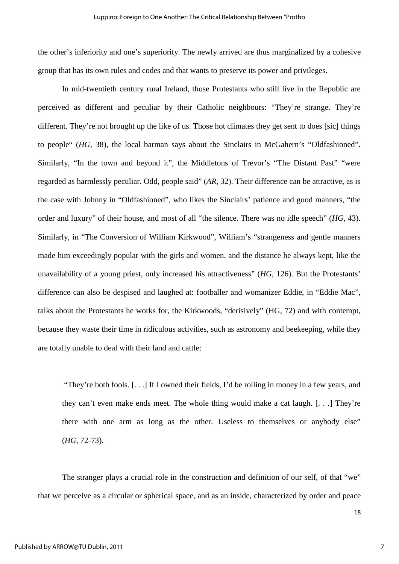the other's inferiority and one's superiority. The newly arrived are thus marginalized by a cohesive group that has its own rules and codes and that wants to preserve its power and privileges.

In mid-twentieth century rural Ireland, those Protestants who still live in the Republic are perceived as different and peculiar by their Catholic neighbours: "They're strange. They're different. They're not brought up the like of us. Those hot climates they get sent to does [sic] things to people" (*HG*, 38), the local barman says about the Sinclairs in McGahern's "Oldfashioned". Similarly, "In the town and beyond it", the Middletons of Trevor's "The Distant Past" "were regarded as harmlessly peculiar. Odd, people said" (*AR*, 32). Their difference can be attractive, as is the case with Johnny in "Oldfashioned", who likes the Sinclairs' patience and good manners, "the order and luxury" of their house, and most of all "the silence. There was no idle speech" (*HG*, 43). Similarly, in "The Conversion of William Kirkwood", William's "strangeness and gentle manners made him exceedingly popular with the girls and women, and the distance he always kept, like the unavailability of a young priest, only increased his attractiveness" (*HG*, 126). But the Protestants' difference can also be despised and laughed at: footballer and womanizer Eddie, in "Eddie Mac", talks about the Protestants he works for, the Kirkwoods, "derisively" (HG, 72) and with contempt, because they waste their time in ridiculous activities, such as astronomy and beekeeping, while they are totally unable to deal with their land and cattle:

 "They're both fools. [. . .] If I owned their fields, I'd be rolling in money in a few years, and they can't even make ends meet. The whole thing would make a cat laugh. [. . .] They're there with one arm as long as the other. Useless to themselves or anybody else" (*HG*, 72-73).

The stranger plays a crucial role in the construction and definition of our self, of that "we" that we perceive as a circular or spherical space, and as an inside, characterized by order and peace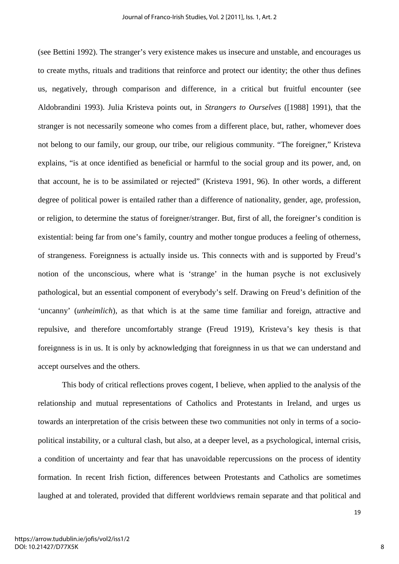(see Bettini 1992). The stranger's very existence makes us insecure and unstable, and encourages us to create myths, rituals and traditions that reinforce and protect our identity; the other thus defines us, negatively, through comparison and difference, in a critical but fruitful encounter (see Aldobrandini 1993). Julia Kristeva points out, in *Strangers to Ourselves* ([1988] 1991), that the stranger is not necessarily someone who comes from a different place, but, rather, whomever does not belong to our family, our group, our tribe, our religious community. "The foreigner," Kristeva explains, "is at once identified as beneficial or harmful to the social group and its power, and, on that account, he is to be assimilated or rejected" (Kristeva 1991, 96). In other words, a different degree of political power is entailed rather than a difference of nationality, gender, age, profession, or religion, to determine the status of foreigner/stranger. But, first of all, the foreigner's condition is existential: being far from one's family, country and mother tongue produces a feeling of otherness, of strangeness. Foreignness is actually inside us. This connects with and is supported by Freud's notion of the unconscious, where what is 'strange' in the human psyche is not exclusively pathological, but an essential component of everybody's self. Drawing on Freud's definition of the 'uncanny' (*unheimlich*), as that which is at the same time familiar and foreign, attractive and repulsive, and therefore uncomfortably strange (Freud 1919), Kristeva's key thesis is that foreignness is in us. It is only by acknowledging that foreignness in us that we can understand and accept ourselves and the others.

This body of critical reflections proves cogent, I believe, when applied to the analysis of the relationship and mutual representations of Catholics and Protestants in Ireland, and urges us towards an interpretation of the crisis between these two communities not only in terms of a sociopolitical instability, or a cultural clash, but also, at a deeper level, as a psychological, internal crisis, a condition of uncertainty and fear that has unavoidable repercussions on the process of identity formation. In recent Irish fiction, differences between Protestants and Catholics are sometimes laughed at and tolerated, provided that different worldviews remain separate and that political and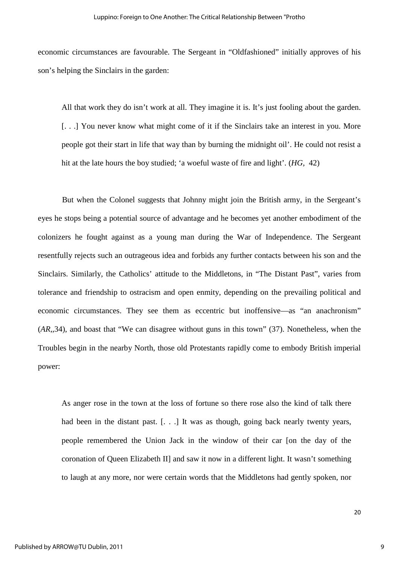economic circumstances are favourable. The Sergeant in "Oldfashioned" initially approves of his son's helping the Sinclairs in the garden:

All that work they do isn't work at all. They imagine it is. It's just fooling about the garden. [. . .] You never know what might come of it if the Sinclairs take an interest in you. More people got their start in life that way than by burning the midnight oil'. He could not resist a hit at the late hours the boy studied; 'a woeful waste of fire and light'. (*HG*, 42)

But when the Colonel suggests that Johnny might join the British army, in the Sergeant's eyes he stops being a potential source of advantage and he becomes yet another embodiment of the colonizers he fought against as a young man during the War of Independence. The Sergeant resentfully rejects such an outrageous idea and forbids any further contacts between his son and the Sinclairs. Similarly, the Catholics' attitude to the Middletons, in "The Distant Past", varies from tolerance and friendship to ostracism and open enmity, depending on the prevailing political and economic circumstances. They see them as eccentric but inoffensive—as "an anachronism" (*AR*,,34), and boast that "We can disagree without guns in this town" (37). Nonetheless, when the Troubles begin in the nearby North, those old Protestants rapidly come to embody British imperial power:

As anger rose in the town at the loss of fortune so there rose also the kind of talk there had been in the distant past. [...] It was as though, going back nearly twenty years, people remembered the Union Jack in the window of their car [on the day of the coronation of Queen Elizabeth II] and saw it now in a different light. It wasn't something to laugh at any more, nor were certain words that the Middletons had gently spoken, nor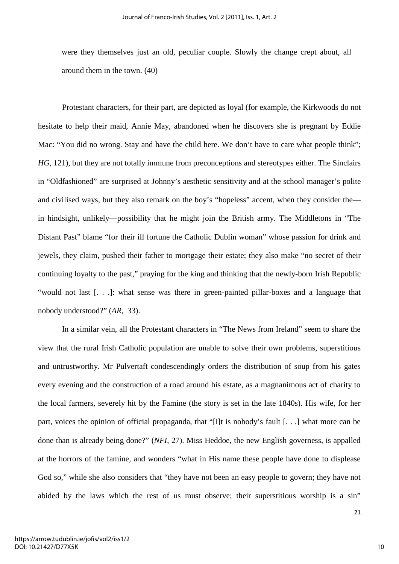were they themselves just an old, peculiar couple. Slowly the change crept about, all around them in the town. (40)

Protestant characters, for their part, are depicted as loyal (for example, the Kirkwoods do not hesitate to help their maid, Annie May, abandoned when he discovers she is pregnant by Eddie Mac: "You did no wrong. Stay and have the child here. We don't have to care what people think"; *HG*, 121), but they are not totally immune from preconceptions and stereotypes either. The Sinclairs in "Oldfashioned" are surprised at Johnny's aesthetic sensitivity and at the school manager's polite and civilised ways, but they also remark on the boy's "hopeless" accent, when they consider the in hindsight, unlikely—possibility that he might join the British army. The Middletons in "The Distant Past" blame "for their ill fortune the Catholic Dublin woman" whose passion for drink and jewels, they claim, pushed their father to mortgage their estate; they also make "no secret of their continuing loyalty to the past," praying for the king and thinking that the newly-born Irish Republic "would not last [. . .]: what sense was there in green-painted pillar-boxes and a language that nobody understood?" (*AR*, 33).

In a similar vein, all the Protestant characters in "The News from Ireland" seem to share the view that the rural Irish Catholic population are unable to solve their own problems, superstitious and untrustworthy. Mr Pulvertaft condescendingly orders the distribution of soup from his gates every evening and the construction of a road around his estate, as a magnanimous act of charity to the local farmers, severely hit by the Famine (the story is set in the late 1840s). His wife, for her part, voices the opinion of official propaganda, that "[i]t is nobody's fault [. . .] what more can be done than is already being done?" (*NFI*, 27). Miss Heddoe, the new English governess, is appalled at the horrors of the famine, and wonders "what in His name these people have done to displease God so," while she also considers that "they have not been an easy people to govern; they have not abided by the laws which the rest of us must observe; their superstitious worship is a sin"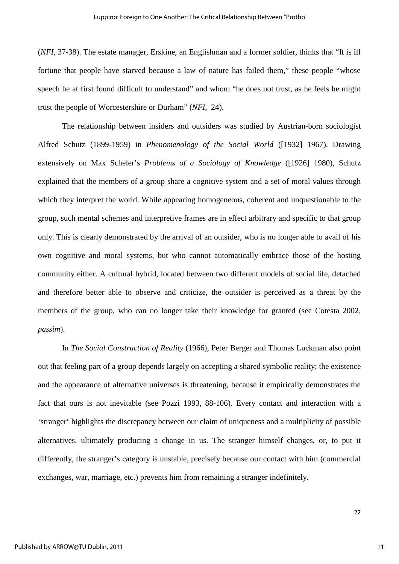(*NFI*, 37-38). The estate manager, Erskine, an Englishman and a former soldier, thinks that "It is ill fortune that people have starved because a law of nature has failed them," these people "whose speech he at first found difficult to understand" and whom "he does not trust, as he feels he might trust the people of Worcestershire or Durham" (*NFI*, 24).

The relationship between insiders and outsiders was studied by Austrian-born sociologist Alfred Schutz (1899-1959) in *Phenomenology of the Social World* ([1932] 1967). Drawing extensively on Max Scheler's *Problems of a Sociology of Knowledge* ([1926] 1980), Schutz explained that the members of a group share a cognitive system and a set of moral values through which they interpret the world. While appearing homogeneous, coherent and unquestionable to the group, such mental schemes and interpretive frames are in effect arbitrary and specific to that group only. This is clearly demonstrated by the arrival of an outsider, who is no longer able to avail of his own cognitive and moral systems, but who cannot automatically embrace those of the hosting community either. A cultural hybrid, located between two different models of social life, detached and therefore better able to observe and criticize, the outsider is perceived as a threat by the members of the group, who can no longer take their knowledge for granted (see Cotesta 2002, *passim*).

In *The Social Construction of Reality* (1966), Peter Berger and Thomas Luckman also point out that feeling part of a group depends largely on accepting a shared symbolic reality; the existence and the appearance of alternative universes is threatening, because it empirically demonstrates the fact that ours is not inevitable (see Pozzi 1993, 88-106). Every contact and interaction with a 'stranger' highlights the discrepancy between our claim of uniqueness and a multiplicity of possible alternatives, ultimately producing a change in us. The stranger himself changes, or, to put it differently, the stranger's category is unstable, precisely because our contact with him (commercial exchanges, war, marriage, etc.) prevents him from remaining a stranger indefinitely.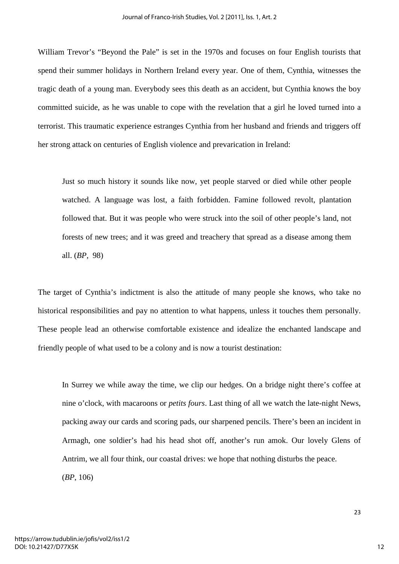William Trevor's "Beyond the Pale" is set in the 1970s and focuses on four English tourists that spend their summer holidays in Northern Ireland every year. One of them, Cynthia, witnesses the tragic death of a young man. Everybody sees this death as an accident, but Cynthia knows the boy committed suicide, as he was unable to cope with the revelation that a girl he loved turned into a terrorist. This traumatic experience estranges Cynthia from her husband and friends and triggers off her strong attack on centuries of English violence and prevarication in Ireland:

Just so much history it sounds like now, yet people starved or died while other people watched. A language was lost, a faith forbidden. Famine followed revolt, plantation followed that. But it was people who were struck into the soil of other people's land, not forests of new trees; and it was greed and treachery that spread as a disease among them all. (*BP*, 98)

The target of Cynthia's indictment is also the attitude of many people she knows, who take no historical responsibilities and pay no attention to what happens, unless it touches them personally. These people lead an otherwise comfortable existence and idealize the enchanted landscape and friendly people of what used to be a colony and is now a tourist destination:

In Surrey we while away the time, we clip our hedges. On a bridge night there's coffee at nine o'clock, with macaroons or *petits fours*. Last thing of all we watch the late-night News, packing away our cards and scoring pads, our sharpened pencils. There's been an incident in Armagh, one soldier's had his head shot off, another's run amok. Our lovely Glens of Antrim, we all four think, our coastal drives: we hope that nothing disturbs the peace.

(*BP*, 106)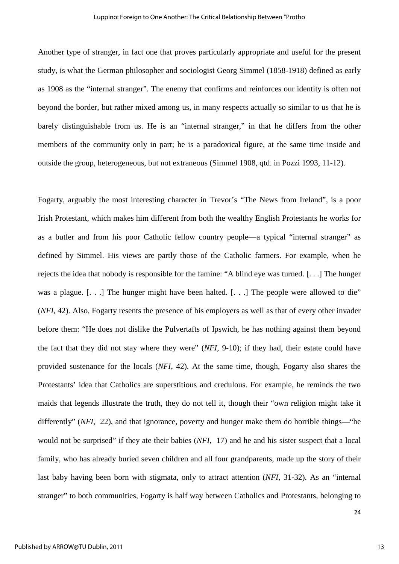Another type of stranger, in fact one that proves particularly appropriate and useful for the present study, is what the German philosopher and sociologist Georg Simmel (1858-1918) defined as early as 1908 as the "internal stranger". The enemy that confirms and reinforces our identity is often not beyond the border, but rather mixed among us, in many respects actually so similar to us that he is barely distinguishable from us. He is an "internal stranger," in that he differs from the other members of the community only in part; he is a paradoxical figure, at the same time inside and outside the group, heterogeneous, but not extraneous (Simmel 1908, qtd. in Pozzi 1993, 11-12).

Fogarty, arguably the most interesting character in Trevor's "The News from Ireland", is a poor Irish Protestant, which makes him different from both the wealthy English Protestants he works for as a butler and from his poor Catholic fellow country people—a typical "internal stranger" as defined by Simmel. His views are partly those of the Catholic farmers. For example, when he rejects the idea that nobody is responsible for the famine: "A blind eye was turned. [. . .] The hunger was a plague. [...] The hunger might have been halted. [...] The people were allowed to die" (*NFI*, 42). Also, Fogarty resents the presence of his employers as well as that of every other invader before them: "He does not dislike the Pulvertafts of Ipswich, he has nothing against them beyond the fact that they did not stay where they were" (*NFI*, 9-10); if they had, their estate could have provided sustenance for the locals (*NFI*, 42). At the same time, though, Fogarty also shares the Protestants' idea that Catholics are superstitious and credulous. For example, he reminds the two maids that legends illustrate the truth, they do not tell it, though their "own religion might take it differently" (*NFI*, 22), and that ignorance, poverty and hunger make them do horrible things—"he would not be surprised" if they ate their babies (*NFI*, 17) and he and his sister suspect that a local family, who has already buried seven children and all four grandparents, made up the story of their last baby having been born with stigmata, only to attract attention (*NFI*, 31-32). As an "internal stranger" to both communities, Fogarty is half way between Catholics and Protestants, belonging to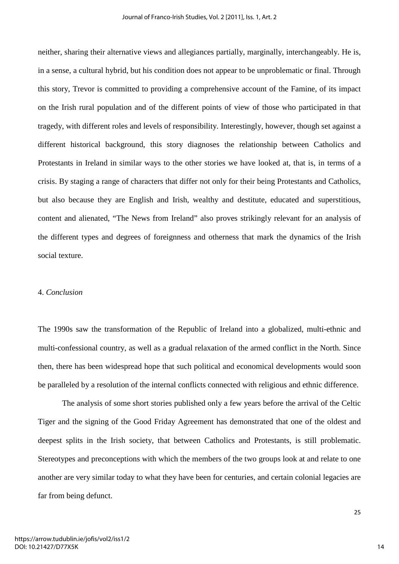neither, sharing their alternative views and allegiances partially, marginally, interchangeably. He is, in a sense, a cultural hybrid, but his condition does not appear to be unproblematic or final. Through this story, Trevor is committed to providing a comprehensive account of the Famine, of its impact on the Irish rural population and of the different points of view of those who participated in that tragedy, with different roles and levels of responsibility. Interestingly, however, though set against a different historical background, this story diagnoses the relationship between Catholics and Protestants in Ireland in similar ways to the other stories we have looked at, that is, in terms of a crisis. By staging a range of characters that differ not only for their being Protestants and Catholics, but also because they are English and Irish, wealthy and destitute, educated and superstitious, content and alienated, "The News from Ireland" also proves strikingly relevant for an analysis of the different types and degrees of foreignness and otherness that mark the dynamics of the Irish social texture.

#### 4. *Conclusion*

The 1990s saw the transformation of the Republic of Ireland into a globalized, multi-ethnic and multi-confessional country, as well as a gradual relaxation of the armed conflict in the North. Since then, there has been widespread hope that such political and economical developments would soon be paralleled by a resolution of the internal conflicts connected with religious and ethnic difference.

The analysis of some short stories published only a few years before the arrival of the Celtic Tiger and the signing of the Good Friday Agreement has demonstrated that one of the oldest and deepest splits in the Irish society, that between Catholics and Protestants, is still problematic. Stereotypes and preconceptions with which the members of the two groups look at and relate to one another are very similar today to what they have been for centuries, and certain colonial legacies are far from being defunct.

14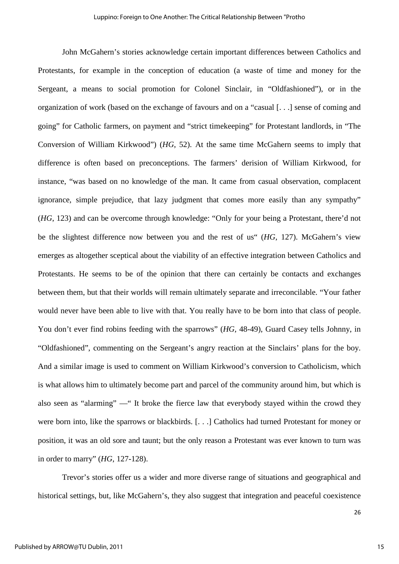John McGahern's stories acknowledge certain important differences between Catholics and Protestants, for example in the conception of education (a waste of time and money for the Sergeant, a means to social promotion for Colonel Sinclair, in "Oldfashioned"), or in the organization of work (based on the exchange of favours and on a "casual [. . .] sense of coming and going" for Catholic farmers, on payment and "strict timekeeping" for Protestant landlords, in "The Conversion of William Kirkwood") (*HG*, 52). At the same time McGahern seems to imply that difference is often based on preconceptions. The farmers' derision of William Kirkwood, for instance, "was based on no knowledge of the man. It came from casual observation, complacent ignorance, simple prejudice, that lazy judgment that comes more easily than any sympathy" (*HG*, 123) and can be overcome through knowledge: "Only for your being a Protestant, there'd not be the slightest difference now between you and the rest of us" (*HG*, 127). McGahern's view emerges as altogether sceptical about the viability of an effective integration between Catholics and Protestants. He seems to be of the opinion that there can certainly be contacts and exchanges between them, but that their worlds will remain ultimately separate and irreconcilable. "Your father would never have been able to live with that. You really have to be born into that class of people. You don't ever find robins feeding with the sparrows" (*HG*, 48-49), Guard Casey tells Johnny, in "Oldfashioned", commenting on the Sergeant's angry reaction at the Sinclairs' plans for the boy. And a similar image is used to comment on William Kirkwood's conversion to Catholicism, which is what allows him to ultimately become part and parcel of the community around him, but which is also seen as "alarming" —" It broke the fierce law that everybody stayed within the crowd they were born into, like the sparrows or blackbirds. [. . .] Catholics had turned Protestant for money or position, it was an old sore and taunt; but the only reason a Protestant was ever known to turn was in order to marry" (*HG*, 127-128).

Trevor's stories offer us a wider and more diverse range of situations and geographical and historical settings, but, like McGahern's, they also suggest that integration and peaceful coexistence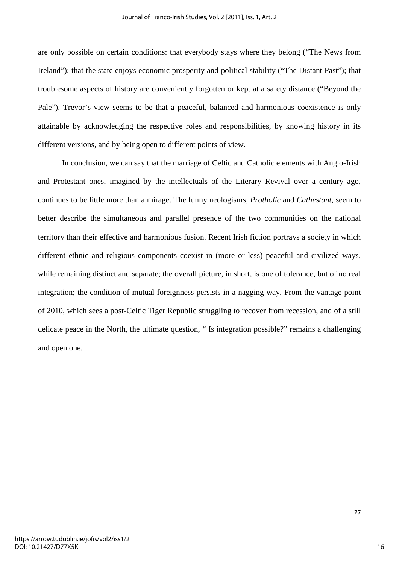are only possible on certain conditions: that everybody stays where they belong ("The News from Ireland"); that the state enjoys economic prosperity and political stability ("The Distant Past"); that troublesome aspects of history are conveniently forgotten or kept at a safety distance ("Beyond the Pale"). Trevor's view seems to be that a peaceful, balanced and harmonious coexistence is only attainable by acknowledging the respective roles and responsibilities, by knowing history in its different versions, and by being open to different points of view.

In conclusion, we can say that the marriage of Celtic and Catholic elements with Anglo-Irish and Protestant ones, imagined by the intellectuals of the Literary Revival over a century ago, continues to be little more than a mirage. The funny neologisms, *Protholic* and *Cathestant*, seem to better describe the simultaneous and parallel presence of the two communities on the national territory than their effective and harmonious fusion. Recent Irish fiction portrays a society in which different ethnic and religious components coexist in (more or less) peaceful and civilized ways, while remaining distinct and separate; the overall picture, in short, is one of tolerance, but of no real integration; the condition of mutual foreignness persists in a nagging way. From the vantage point of 2010, which sees a post-Celtic Tiger Republic struggling to recover from recession, and of a still delicate peace in the North, the ultimate question, " Is integration possible?" remains a challenging and open one.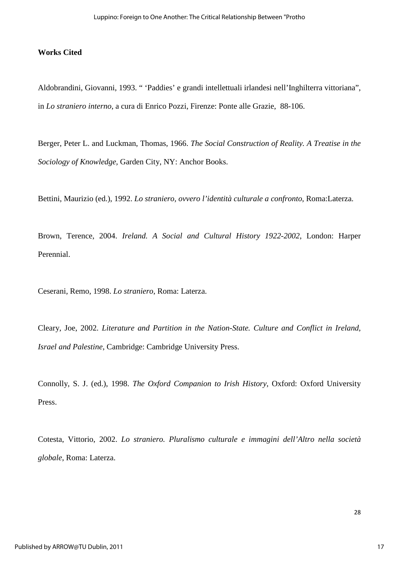### **Works Cited**

Aldobrandini, Giovanni, 1993. " 'Paddies' e grandi intellettuali irlandesi nell'Inghilterra vittoriana", in *Lo straniero interno*, a cura di Enrico Pozzi, Firenze: Ponte alle Grazie, 88-106.

Berger, Peter L. and Luckman, Thomas, 1966. *The Social Construction of Reality. A Treatise in the Sociology of Knowledge,* Garden City, NY: Anchor Books.

Bettini, Maurizio (ed.), 1992. *Lo straniero, ovvero l'identità culturale a confronto*, Roma:Laterza.

Brown, Terence, 2004. *Ireland. A Social and Cultural History 1922-2002*, London: Harper Perennial.

Ceserani, Remo, 1998. *Lo straniero*, Roma: Laterza.

Cleary, Joe, 2002. *Literature and Partition in the Nation-State. Culture and Conflict in Ireland, Israel and Palestine*, Cambridge: Cambridge University Press.

Connolly, S. J. (ed.), 1998. *The Oxford Companion to Irish History*, Oxford: Oxford University Press.

Cotesta, Vittorio, 2002. *Lo straniero. Pluralismo culturale e immagini dell'Altro nella società globale*, Roma: Laterza.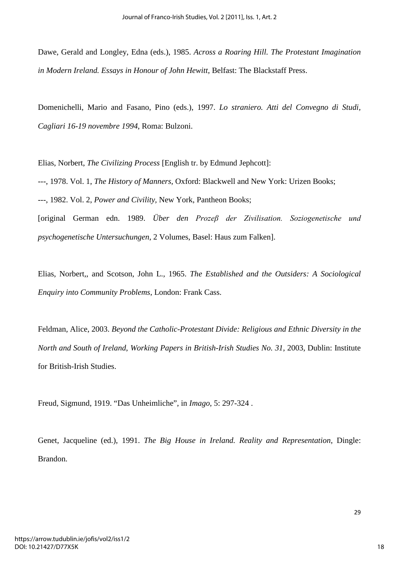Dawe, Gerald and Longley, Edna (eds.), 1985. *Across a Roaring Hill. The Protestant Imagination in Modern Ireland. Essays in Honour of John Hewitt*, Belfast: The Blackstaff Press.

Domenichelli, Mario and Fasano, Pino (eds.), 1997. *Lo straniero. Atti del Convegno di Studi, Cagliari 16-19 novembre 1994*, Roma: Bulzoni.

Elias, Norbert, *The Civilizing Process* [English tr. by Edmund Jephcott]:

---, 1978. Vol. 1, *The History of Manners*, Oxford: Blackwell and New York: Urizen Books;

---, 1982. Vol. 2, *Power and Civility,* New York, Pantheon Books;

[original German edn. 1989. *Über den Prozeβ der Zivilisation. Soziogenetische und psychogenetische Untersuchungen*, 2 Volumes, Basel: Haus zum Falken].

Elias, Norbert,, and Scotson, John L., 1965. *The Established and the Outsiders: A Sociological Enquiry into Community Problems*, London: Frank Cass.

Feldman, Alice, 2003. *Beyond the Catholic-Protestant Divide: Religious and Ethnic Diversity in the North and South of Ireland*, *Working Papers in British-Irish Studies No. 31*, 2003, Dublin: Institute for British-Irish Studies.

Freud, Sigmund, 1919. "Das Unheimliche", in *Imago*, 5: 297-324 .

Genet, Jacqueline (ed.), 1991. *The Big House in Ireland. Reality and Representation*, Dingle: Brandon.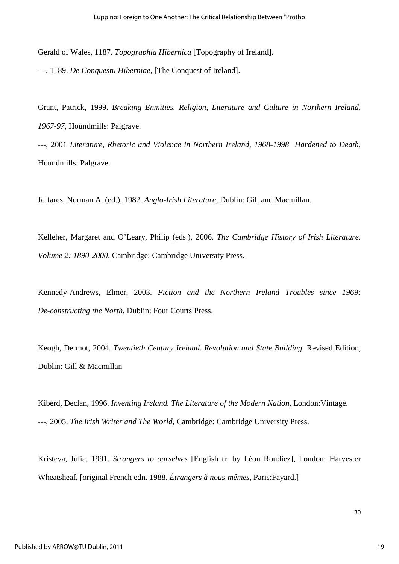Gerald of Wales, 1187. *Topographia Hibernica* [Topography of Ireland]. ---, 1189. *De Conquestu Hiberniae*, [The Conquest of Ireland].

Grant, Patrick, 1999. *Breaking Enmities. Religion, Literature and Culture in Northern Ireland, 1967-97*, Houndmills: Palgrave.

---, 2001 *Literature, Rhetoric and Violence in Northern Ireland, 1968-1998 Hardened to Death*, Houndmills: Palgrave.

Jeffares, Norman A. (ed.), 1982. *Anglo-Irish Literature*, Dublin: Gill and Macmillan.

Kelleher, Margaret and O'Leary, Philip (eds.), 2006. *The Cambridge History of Irish Literature. Volume 2: 1890-2000*, Cambridge: Cambridge University Press.

Kennedy-Andrews, Elmer, 2003. *Fiction and the Northern Ireland Troubles since 1969: De-constructing the North*, Dublin: Four Courts Press.

Keogh, Dermot, 2004. *Twentieth Century Ireland. Revolution and State Building.* Revised Edition, Dublin: Gill & Macmillan

Kiberd, Declan, 1996. *Inventing Ireland. The Literature of the Modern Nation*, London:Vintage. ---, 2005. *The Irish Writer and The World*, Cambridge: Cambridge University Press.

Kristeva, Julia, 1991. *Strangers to ourselves* [English tr. by Léon Roudiez], London: Harvester Wheatsheaf, [original French edn. 1988. *Étrangers à nous-mêmes*, Paris:Fayard.]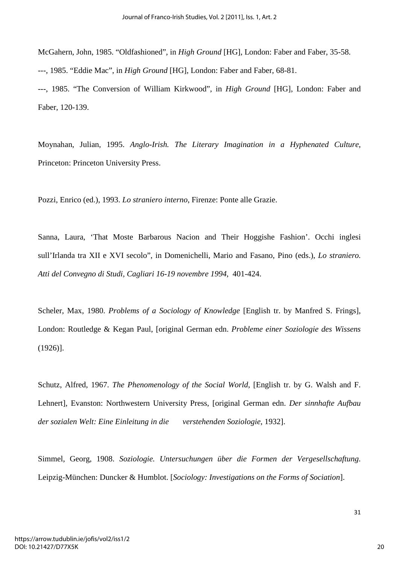McGahern, John, 1985. "Oldfashioned", in *High Ground* [HG], London: Faber and Faber, 35-58. ---, 1985. "Eddie Mac", in *High Ground* [HG], London: Faber and Faber, 68-81. ---, 1985. "The Conversion of William Kirkwood", in *High Ground* [HG], London: Faber and Faber, 120-139.

Moynahan, Julian, 1995. *Anglo-Irish. The Literary Imagination in a Hyphenated Culture*, Princeton: Princeton University Press.

Pozzi, Enrico (ed.), 1993. *Lo straniero interno*, Firenze: Ponte alle Grazie.

Sanna, Laura, 'That Moste Barbarous Nacion and Their Hoggishe Fashion'. Occhi inglesi sull'Irlanda tra XII e XVI secolo", in Domenichelli, Mario and Fasano, Pino (eds.), *Lo straniero. Atti del Convegno di Studi, Cagliari 16-19 novembre 1994*, 401-424.

Scheler, Max, 1980. *Problems of a Sociology of Knowledge* [English tr. by Manfred S. Frings], London: Routledge & Kegan Paul, [original German edn. *Probleme einer Soziologie des Wissens* (1926)].

Schutz, Alfred, 1967. *The Phenomenology of the Social World*, [English tr. by G. Walsh and F. Lehnert], Evanston: Northwestern University Press, [original German edn. *Der sinnhafte Aufbau der sozialen Welt: Eine Einleitung in die verstehenden Soziologie*, 1932].

Simmel, Georg, 1908. *Soziologie. Untersuchungen über die Formen der Vergesellschaftung*. Leipzig-München: Duncker & Humblot. [*Sociology: Investigations on the Forms of Sociation*].